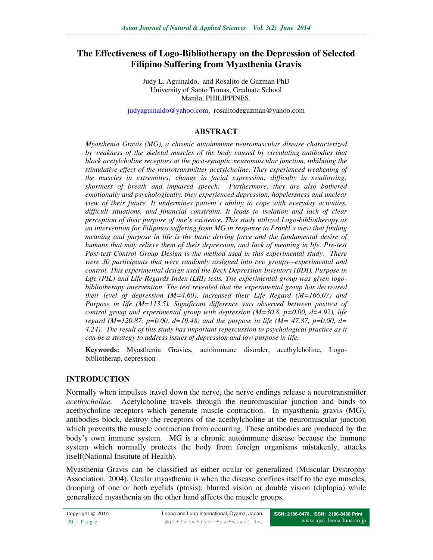# **The Effectiveness of Logo-Bibliotherapy on the Depression of Selected Filipino Suffering from Myasthenia Gravis**

Judy L. Aguinaldo, and Rosalito de Guzman PhD University of Santo Tomas, Graduate School Manila, PHILIPPINES.

judyaguinaldo@yahoo.com, rosalitodeguzman@yahoo.com

#### **ABSTRACT**

*Myasthenia Gravis (MG), a chronic autoimmune neuromuscular disease characterized by weakness of the skeletal muscles of the body caused by circulating antibodies that block acetylcholine receptors at the post-synaptic neuromuscular junction, inhibiting the stimulative effect of the neurotransmitter acetylcholine. They experienced weakening of the muscles in extremities; change in facial expression; difficulty in swallowing; shortness of breath and impaired speech. Furthermore, they are also bothered emotionally and psychologically, they experienced depression, hopelessness and unclear view of their future. It undermines patient's ability to cope with everyday activities, difficult situations, and financial constraint. It leads to isolation and lack of clear perception of their purpose of one's existence. This study utilized Logo-bibliotherapy as an intervention for Filipinos suffering from MG in response to Frankl's view that finding meaning and purpose in life is the basic driving force and the fundamental desire of humans that may relieve them of their depression, and lack of meaning in life. Pre-test Post-test Control Group Design is the method used in this experimental study. There were 30 participants that were randomly assigned into two groups—experimental and control. This experimental design used the Beck Depression Inventory (BDI), Purpose in Life (PIL) and Life Regards Index (LRI) tests. The experimental group was given logobibliotherapy intervention. The test revealed that the experimental group has decreased their level of depression (M=4.60), increased their Life Regard (M=166.07) and Purpose in life (M=113.5). Significant difference was observed between posttest of control group and experimental group with depression (M=30.8, p=0.00, d=4.92), life regard (M=120.87, p=0.00, d=19.48) and the purpose in life (M= 47.87, p=0.00, d= 4.24). The result of this study has important repercussion to psychological practice as it can be a strategy to address issues of depression and low purpose in life.* 

**Keywords:** Myasthenia Gravies, autoimmune disorder, acethylcholine, Logobibliotherap, depression

### **INTRODUCTION**

Normally when impulses travel down the nerve, the nerve endings release a neurotransmitter *acethycholine.* Acetylcholine travels through the neuromuscular junction and binds to acethycholine receptors which generate muscle contraction. In myasthenia gravis (MG), antibodies block, destroy the receptors of the acethylcholine at the neuromuscular junction which prevents the muscle contraction from occurring. These antibodies are produced by the body's own immune system. MG is a chronic autoimmune disease because the immune system which normally protects the body from foreign organisms mistakenly, attacks itself(National Institute of Health).

Myasthenia Gravis can be classified as either ocular or generalized (Muscular Dystrophy Association, 2004). Ocular myasthenia is when the disease confines itself to the eye muscles, drooping of one or both eyelids (ptosis); blurred vision or double vision (diplopia) while generalized myasthenia on the other hand affects the muscle groups.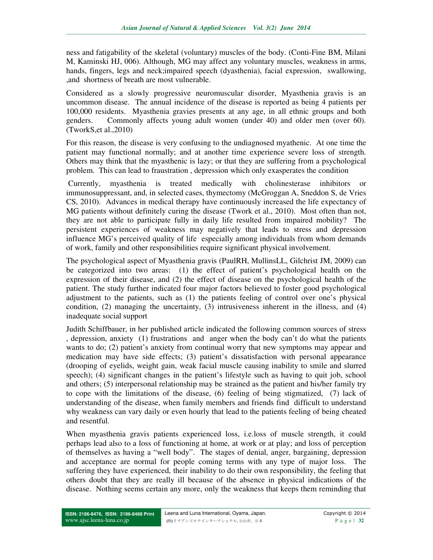ness and fatigability of the skeletal (voluntary) muscles of the body. (Conti-Fine BM, Milani M, Kaminski HJ, 006). Although, MG may affect any voluntary muscles, weakness in arms, hands, fingers, legs and neck;impaired speech (dyasthenia), facial expression, swallowing, ,and shortness of breath are most vulnerable.

Considered as a slowly progressive neuromuscular disorder, Myasthenia gravis is an uncommon disease. The annual incidence of the disease is reported as being 4 patients per 100,000 residents. Myasthenia gravies presents at any age, in all ethnic groups and both genders. Commonly affects young adult women (under 40) and older men (over 60). (TworkS,et al.,2010)

For this reason, the disease is very confusing to the undiagnosed myathenic. At one time the patient may functional normally; and at another time experience severe loss of strength. Others may think that the myasthenic is lazy; or that they are suffering from a psychological problem. This can lead to fraustration , depression which only exasperates the condition

 Currently, myasthenia is treated medically with cholinesterase inhibitors or immunosuppressant, and, in selected cases, thymectomy (McGroggan A, Sneddon S, de Vries CS, 2010). Advances in medical therapy have continuously increased the life expectancy of MG patients without definitely curing the disease (Twork et al., 2010). Most often than not, they are not able to participate fully in daily life resulted from impaired mobility? The persistent experiences of weakness may negatively that leads to stress and depression influence MG's perceived quality of life especially among individuals from whom demands of work, family and other responsibilities require significant physical involvement.

The psychological aspect of Myasthenia gravis (PaulRH, MullinsLL, Gilchrist JM, 2009) can be categorized into two areas: (1) the effect of patient's psychological health on the expression of their disease, and (2) the effect of disease on the psychological health of the patient. The study further indicated four major factors believed to foster good psychological adjustment to the patients, such as (1) the patients feeling of control over one's physical condition, (2) managing the uncertainty, (3) intrusiveness inherent in the illness, and (4) inadequate social support

Judith Schiffbauer, in her published article indicated the following common sources of stress , depression, anxiety (1) frustrations and anger when the body can't do what the patients wants to do; (2) patient's anxiety from continual worry that new symptoms may appear and medication may have side effects; (3) patient's dissatisfaction with personal appearance (drooping of eyelids, weight gain, weak facial muscle causing inability to smile and slurred speech); (4) significant changes in the patient's lifestyle such as having to quit job, school and others; (5) interpersonal relationship may be strained as the patient and his/her family try to cope with the limitations of the disease, (6) feeling of being stigmatized, (7) lack of understanding of the disease, when family members and friends find difficult to understand why weakness can vary daily or even hourly that lead to the patients feeling of being cheated and resentful.

When myasthenia gravis patients experienced loss, i.e.loss of muscle strength, it could perhaps lead also to a loss of functioning at home, at work or at play; and loss of perception of themselves as having a "well body". The stages of denial, anger, bargaining, depression and acceptance are normal for people coming terms with any type of major loss. The suffering they have experienced, their inability to do their own responsibility, the feeling that others doubt that they are really ill because of the absence in physical indications of the disease. Nothing seems certain any more, only the weakness that keeps them reminding that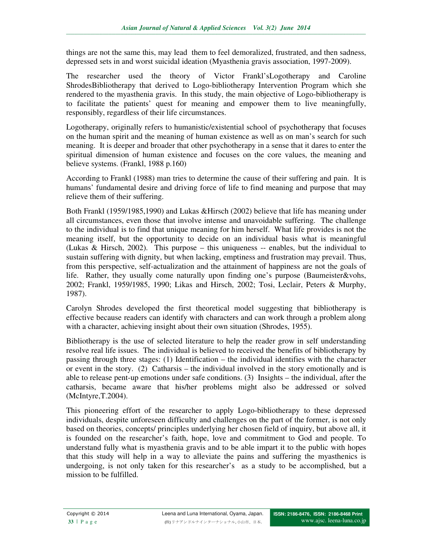things are not the same this, may lead them to feel demoralized, frustrated, and then sadness, depressed sets in and worst suicidal ideation (Myasthenia gravis association, 1997-2009).

The researcher used the theory of Victor Frankl'sLogotherapy and Caroline ShrodesBibliotherapy that derived to Logo-bibliotherapy Intervention Program which she rendered to the myasthenia gravis. In this study, the main objective of Logo-bibliotherapy is to facilitate the patients' quest for meaning and empower them to live meaningfully, responsibly, regardless of their life circumstances.

Logotherapy, originally refers to humanistic/existential school of psychotherapy that focuses on the human spirit and the meaning of human existence as well as on man's search for such meaning. It is deeper and broader that other psychotherapy in a sense that it dares to enter the spiritual dimension of human existence and focuses on the core values, the meaning and believe systems. (Frankl, 1988 p.160)

According to Frankl (1988) man tries to determine the cause of their suffering and pain. It is humans' fundamental desire and driving force of life to find meaning and purpose that may relieve them of their suffering.

Both Frankl (1959/1985,1990) and Lukas &Hirsch (2002) believe that life has meaning under all circumstances, even those that involve intense and unavoidable suffering. The challenge to the individual is to find that unique meaning for him herself. What life provides is not the meaning itself, but the opportunity to decide on an individual basis what is meaningful (Lukas & Hirsch, 2002). This purpose – this uniqueness  $-$  enables, but the individual to sustain suffering with dignity, but when lacking, emptiness and frustration may prevail. Thus, from this perspective, self-actualization and the attainment of happiness are not the goals of life. Rather, they usually come naturally upon finding one's purpose (Baumeister&vohs, 2002; Frankl, 1959/1985, 1990; Likas and Hirsch, 2002; Tosi, Leclair, Peters & Murphy, 1987).

Carolyn Shrodes developed the first theoretical model suggesting that bibliotherapy is effective because readers can identify with characters and can work through a problem along with a character, achieving insight about their own situation (Shrodes, 1955).

Bibliotherapy is the use of selected literature to help the reader grow in self understanding resolve real life issues. The individual is believed to received the benefits of bibliotherapy by passing through three stages: (1) Identification – the individual identifies with the character or event in the story. (2) Catharsis – the individual involved in the story emotionally and is able to release pent-up emotions under safe conditions. (3) Insights – the individual, after the catharsis, became aware that his/her problems might also be addressed or solved (McIntyre,T.2004).

This pioneering effort of the researcher to apply Logo-bibliotherapy to these depressed individuals, despite unforeseen difficulty and challenges on the part of the former, is not only based on theories, concepts/ principles underlying her chosen field of inquiry, but above all, it is founded on the researcher's faith, hope, love and commitment to God and people. To understand fully what is myasthenia gravis and to be able impart it to the public with hopes that this study will help in a way to alleviate the pains and suffering the myasthenics is undergoing, is not only taken for this researcher's as a study to be accomplished, but a mission to be fulfilled.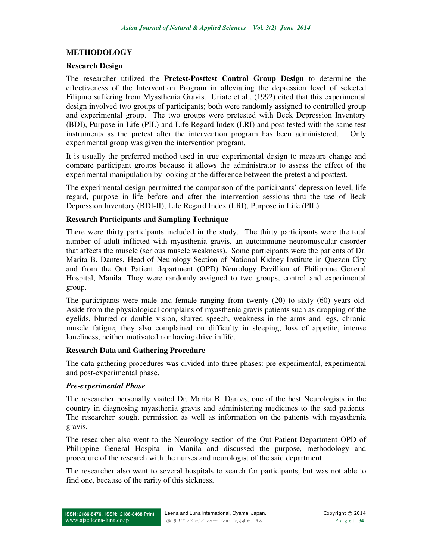### **METHODOLOGY**

#### **Research Design**

The researcher utilized the **Pretest-Posttest Control Group Design** to determine the effectiveness of the Intervention Program in alleviating the depression level of selected Filipino suffering from Myasthenia Gravis. Uriate et al., (1992) cited that this experimental design involved two groups of participants; both were randomly assigned to controlled group and experimental group. The two groups were pretested with Beck Depression Inventory (BDI), Purpose in Life (PIL) and Life Regard Index (LRI) and post tested with the same test instruments as the pretest after the intervention program has been administered. Only experimental group was given the intervention program.

It is usually the preferred method used in true experimental design to measure change and compare participant groups because it allows the administrator to assess the effect of the experimental manipulation by looking at the difference between the pretest and posttest.

The experimental design perrmitted the comparison of the participants' depression level, life regard, purpose in life before and after the intervention sessions thru the use of Beck Depression Inventory (BDI-II), Life Regard Index (LRI), Purpose in Life (PIL).

#### **Research Participants and Sampling Technique**

There were thirty participants included in the study. The thirty participants were the total number of adult inflicted with myasthenia gravis, an autoimmune neuromuscular disorder that affects the muscle (serious muscle weakness). Some participants were the patients of Dr. Marita B. Dantes, Head of Neurology Section of National Kidney Institute in Quezon City and from the Out Patient department (OPD) Neurology Pavillion of Philippine General Hospital, Manila. They were randomly assigned to two groups, control and experimental group.

The participants were male and female ranging from twenty (20) to sixty (60) years old. Aside from the physiological complains of myasthenia gravis patients such as dropping of the eyelids, blurred or double vision, slurred speech, weakness in the arms and legs, chronic muscle fatigue, they also complained on difficulty in sleeping, loss of appetite, intense loneliness, neither motivated nor having drive in life.

#### **Research Data and Gathering Procedure**

The data gathering procedures was divided into three phases: pre-experimental, experimental and post-experimental phase.

#### *Pre-experimental Phase*

The researcher personally visited Dr. Marita B. Dantes, one of the best Neurologists in the country in diagnosing myasthenia gravis and administering medicines to the said patients. The researcher sought permission as well as information on the patients with myasthenia gravis.

The researcher also went to the Neurology section of the Out Patient Department OPD of Philippine General Hospital in Manila and discussed the purpose, methodology and procedure of the research with the nurses and neurologist of the said department.

The researcher also went to several hospitals to search for participants, but was not able to find one, because of the rarity of this sickness.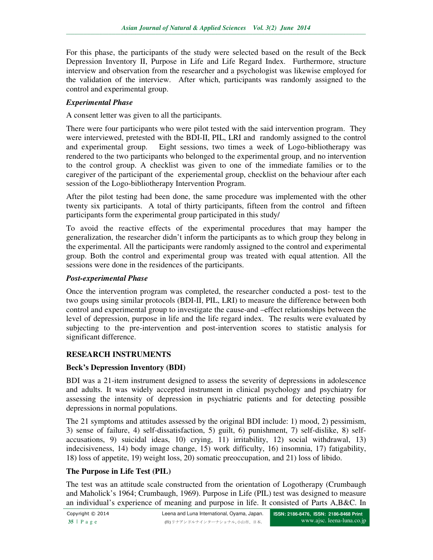For this phase, the participants of the study were selected based on the result of the Beck Depression Inventory II, Purpose in Life and Life Regard Index. Furthermore, structure interview and observation from the researcher and a psychologist was likewise employed for the validation of the interview. After which, participants was randomly assigned to the control and experimental group.

### *Experimental Phase*

A consent letter was given to all the participants.

There were four participants who were pilot tested with the said intervention program. They were interviewed, pretested with the BDI-II, PIL, LRI and randomly assigned to the control and experimental group. Eight sessions, two times a week of Logo-bibliotherapy was rendered to the two participants who belonged to the experimental group, and no intervention to the control group. A checklist was given to one of the immediate families or to the caregiver of the participant of the experiemental group, checklist on the behaviour after each session of the Logo-bibliotherapy Intervention Program.

After the pilot testing had been done, the same procedure was implemented with the other twenty six participants. A total of thirty participants, fifteen from the control and fifteen participants form the experimental group participated in this study/

To avoid the reactive effects of the experimental procedures that may hamper the generalization, the researcher didn't inform the participants as to which group they belong in the experimental. All the participants were randomly assigned to the control and experimental group. Both the control and experimental group was treated with equal attention. All the sessions were done in the residences of the participants.

#### *Post-experimental Phase*

Once the intervention program was completed, the researcher conducted a post- test to the two goups using similar protocols (BDI-II, PIL, LRI) to measure the difference between both control and experimental group to investigate the cause-and –effect relationships between the level of depression, purpose in life and the life regard index. The results were evaluated by subjecting to the pre-intervention and post-intervention scores to statistic analysis for significant difference.

### **RESEARCH INSTRUMENTS**

### **Beck's Depression Inventory (BDI)**

BDI was a 21-item instrument designed to assess the severity of depressions in adolescence and adults. It was widely accepted instrument in clinical psychology and psychiatry for assessing the intensity of depression in psychiatric patients and for detecting possible depressions in normal populations.

The 21 symptoms and attitudes assessed by the original BDI include: 1) mood, 2) pessimism, 3) sense of failure, 4) self-dissatisfaction, 5) guilt, 6) punishment, 7) self-dislike, 8) selfaccusations, 9) suicidal ideas, 10) crying, 11) irritability, 12) social withdrawal, 13) indecisiveness, 14) body image change, 15) work difficulty, 16) insomnia, 17) fatigability, 18) loss of appetite, 19) weight loss, 20) somatic preoccupation, and 21) loss of libido.

#### **The Purpose in Life Test (PIL)**

The test was an attitude scale constructed from the orientation of Logotherapy (Crumbaugh and Maholick's 1964; Crumbaugh, 1969). Purpose in Life (PIL) test was designed to measure an individual's experience of meaning and purpose in life. It consisted of Parts A,B&C. In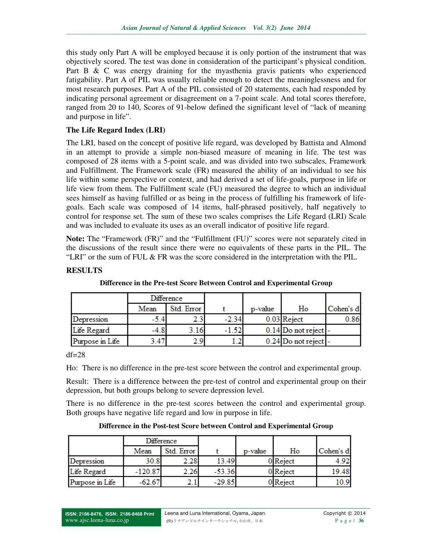this study only Part A will be employed because it is only portion of the instrument that was objectively scored. The test was done in consideration of the participant's physical condition. Part B & C was energy draining for the myasthenia gravis patients who experienced fatigability. Part A of PIL was usually reliable enough to detect the meaninglessness and for most research purposes. Part A of the PIL consisted of 20 statements, each had responded by indicating personal agreement or disagreement on a 7-point scale. And total scores therefore, ranged from 20 to 140, Scores of 91-below defined the significant level of "lack of meaning and purpose in life".

### **The Life Regard Index (LRI)**

The LRI, based on the concept of positive life regard, was developed by Battista and Almond in an attempt to provide a simple non-biased measure of meaning in life. The test was composed of 28 items with a 5-point scale, and was divided into two subscales, Framework and Fulfillment. The Framework scale (FR) measured the ability of an individual to see his life within some perspective or context, and had derived a set of life-goals, purpose in life or life view from them. The Fulfillment scale (FU) measured the degree to which an individual sees himself as having fulfilled or as being in the process of fulfilling his framework of lifegoals. Each scale was composed of 14 items, half-phrased positively, half negatively to control for response set. The sum of these two scales comprises the Life Regard (LRI) Scale and was included to evaluate its uses as an overall indicator of positive life regard.

**Note:** The "Framework (FR)" and the "Fulfillment (FU)" scores were not separately cited in the discussions of the result since there were no equivalents of these parts in the PIL. The "LRI" or the sum of FUL & FR was the score considered in the interpretation with the PIL.

|                 | Difference |            |         |         |                        |           |
|-----------------|------------|------------|---------|---------|------------------------|-----------|
|                 | Mean       | Std. Error |         | p-value | Ho                     | Cohen's d |
| Depression      | -5.4       |            | $-2.34$ |         | 0.03 Reject            | 0.86      |
| Life Regard     | -4.8       | 3.16       | $-1.52$ |         | $0.14$ Do not reject - |           |
| Purpose in Life | 3.47       | 2.9        |         |         | 0.24 Do not reject -   |           |

## **RESULTS**

**Difference in the Pre-test Score Between Control and Experimental Group** 

### $df=28$

Ho: There is no difference in the pre-test score between the control and experimental group.

Result: There is a difference between the pre-test of control and experimental group on their depression, but both groups belong to severe depression level.

There is no difference in the pre-test scores between the control and experimental group. Both groups have negative life regard and low in purpose in life.

| Difference in the Post-test Score between Control and Experimental Group |  |  |  |
|--------------------------------------------------------------------------|--|--|--|
|--------------------------------------------------------------------------|--|--|--|

|                 | Difference |            |          |         |          |           |
|-----------------|------------|------------|----------|---------|----------|-----------|
|                 | Mean       | Std. Error |          | p-value | Ho       | Cohen's d |
| Depression      | 30.8       | 2.28       | 13.49    |         | 0 Reject | 4.92      |
| Life Regard     | $-120.87$  | 2.26       | $-53.36$ |         | 0 Reject | 19.48     |
| Purpose in Life | $-62.67$   |            | $-29.85$ |         | 0 Reject | 10.9      |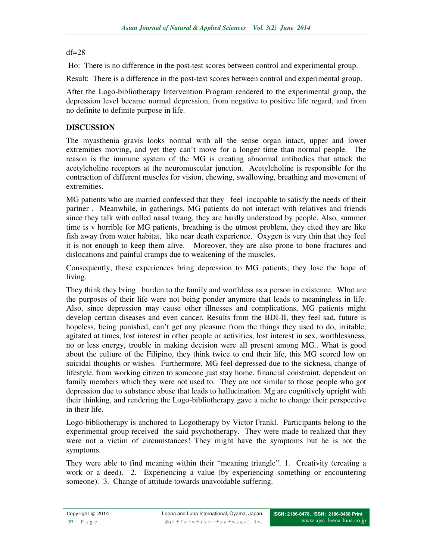#### $df=28$

Ho: There is no difference in the post-test scores between control and experimental group.

Result: There is a difference in the post-test scores between control and experimental group.

After the Logo-bibliotherapy Intervention Program rendered to the experimental group, the depression level became normal depression, from negative to positive life regard, and from no definite to definite purpose in life.

## **DISCUSSION**

The myasthenia gravis looks normal with all the sense organ intact, upper and lower extremities moving, and yet they can't move for a longer time than normal people. The reason is the immune system of the MG is creating abnormal antibodies that attack the acetylcholine receptors at the neuromuscular junction. Acetylcholine is responsible for the contraction of different muscles for vision, chewing, swallowing, breathing and movement of extremities.

MG patients who are married confessed that they feel incapable to satisfy the needs of their partner . Meanwhile, in gatherings, MG patients do not interact with relatives and friends since they talk with called nasal twang, they are hardly understood by people. Also, summer time is v horrible for MG patients, breathing is the utmost problem, they cited they are like fish away from water habitat, like near death experience. Oxygen is very thin that they feel it is not enough to keep them alive. Moreover, they are also prone to bone fractures and dislocations and painful cramps due to weakening of the muscles.

Consequently, these experiences bring depression to MG patients; they lose the hope of living.

They think they bring burden to the family and worthless as a person in existence. What are the purposes of their life were not being ponder anymore that leads to meaningless in life. Also, since depression may cause other illnesses and complications, MG patients might develop certain diseases and even cancer. Results from the BDI-II, they feel sad, future is hopeless, being punished, can't get any pleasure from the things they used to do, irritable, agitated at times, lost interest in other people or activities, lost interest in sex, worthlessness, no or less energy, trouble in making decision were all present among MG.. What is good about the culture of the Filipino, they think twice to end their life, this MG scored low on suicidal thoughts or wishes. Furthermore, MG feel depressed due to the sickness, change of lifestyle, from working citizen to someone just stay home, financial constraint, dependent on family members which they were not used to. They are not similar to those people who got depression due to substance abuse that leads to hallucination. Mg are cognitively upright with their thinking, and rendering the Logo-bibliotherapy gave a niche to change their perspective in their life.

Logo-bibliotherapy is anchored to Logotherapy by Victor Frankl. Participants belong to the experimental group received the said psychotherapy. They were made to realized that they were not a victim of circumstances! They might have the symptoms but he is not the symptoms.

They were able to find meaning within their "meaning triangle". 1. Creativity (creating a work or a deed). 2. Experiencing a value (by experiencing something or encountering someone). 3. Change of attitude towards unavoidable suffering.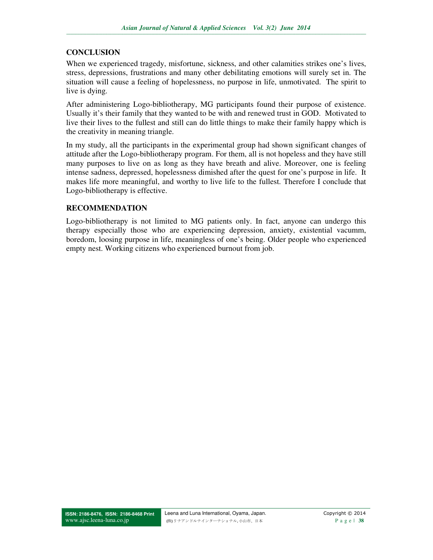### **CONCLUSION**

When we experienced tragedy, misfortune, sickness, and other calamities strikes one's lives, stress, depressions, frustrations and many other debilitating emotions will surely set in. The situation will cause a feeling of hopelessness, no purpose in life, unmotivated. The spirit to live is dying.

After administering Logo-bibliotherapy, MG participants found their purpose of existence. Usually it's their family that they wanted to be with and renewed trust in GOD. Motivated to live their lives to the fullest and still can do little things to make their family happy which is the creativity in meaning triangle.

In my study, all the participants in the experimental group had shown significant changes of attitude after the Logo-bibliotherapy program. For them, all is not hopeless and they have still many purposes to live on as long as they have breath and alive. Moreover, one is feeling intense sadness, depressed, hopelessness dimished after the quest for one's purpose in life. It makes life more meaningful, and worthy to live life to the fullest. Therefore I conclude that Logo-bibliotherapy is effective.

### **RECOMMENDATION**

Logo-bibliotherapy is not limited to MG patients only. In fact, anyone can undergo this therapy especially those who are experiencing depression, anxiety, existential vacumm, boredom, loosing purpose in life, meaningless of one's being. Older people who experienced empty nest. Working citizens who experienced burnout from job.